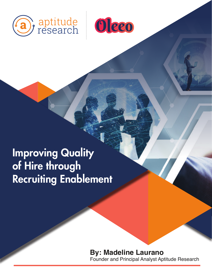



Improving Quality of Hire through Recruiting Enablement

# **By: Madeline Laurano**  Founder and Principal Analyst Aptitude Research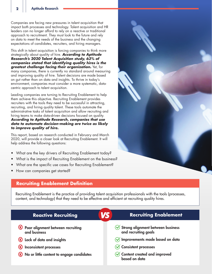Companies are facing new pressures in talent acquisition that impact both processes and technology. Talent acquisition and HR leaders can no longer afford to rely on a reactive or traditional approach to recruitment. They must look to the future and rely on data to meet the needs of the business and the changing expectations of candidates, recruiters, and hiring managers.

This shift in talent acquisition is forcing companies to think more strategically about quality of hire. *According to Aptitude Research's 2020 Talent Acquisition study, 63% of companies stated that identifying quality hires is the greatest challenge facing their organization.* Yet, for many companies, there is currently no standard around measuring and improving quality of hire. Talent decisions are made based on gut rather than on data and insights. To thrive in today's environment, companies must consider a more systematic, datacentric approach to talent acquisition.

Leading companies are turning to Recruiting Enablement to help them achieve this objective. Recruiting Enablement provides recruiters with the tools they need to be successful in attracting, recruiting, and hiring quality talent. These tools automate the administrative tasks of talent acquisition and allow recruiting and hiring teams to make data-driven decisions focused on quality. *According to Aptitude Research, companies that use data to automate decision-making are twice as likely to improve quality of hire.* 

This report, based on research conducted in February and March 2020, will provide a closer look at Recruiting Enablement. It will help address the following questions:

- What are the key drivers of Recruiting Enablement today?
- What is the impact of Recruiting Enablement on the business?
- What are the specific use cases for Recruiting Enablement?
- How can companies get started?

## **Recruiting Enablement Definition**

Recruiting Enablement is the practice of providing talent acquisition professionals with the tools (processes, content, and technology) that they need to be effective and efficient at recruiting quality hires.

| VS<br><b>Reactive Recruiting</b>                      | <b>Recruiting Enablement</b>                              |
|-------------------------------------------------------|-----------------------------------------------------------|
| (X) Poor alignment between recruiting<br>and business | Strong alignment between business<br>and recruiting goals |
| (X) Lack of data and insights                         | $\oslash$ Improvements made based on data                 |
| Inconsistent processes                                | ◯ Consistent processes                                    |
| (X) No or little content to engage candidates         | $\oslash$ Content created and improved<br>based on data   |



**2**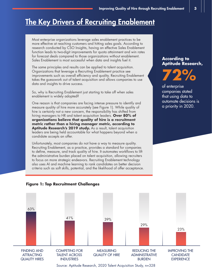# **The Key Drivers of Recruiting Enablement**

Most enterprise organizations leverage sales enablement practices to be more effective at reaching customers and hitting sales goals. According to research conducted by CSO Insights, having an effective Sales Enablement function leads to two-digit improvements for quota attainment and win rates for forecast deals compared to those organizations without enablement. Sales Enablement is most successful when data and insights fuel it.

The same principles and results can be applied to talent acquisition. Organizations that leverage a Recruiting Enablement practice see improvements such as overall efficiency and quality. Recruiting Enablement takes the guesswork out of talent acquisition and allows companies to use data and insights to drive success.

So, why is Recruiting Enablement just starting to take off when sales enablement is widely adopted?

One reason is that companies are facing intense pressure to identify and measure quality of hire more accurately (see Figure 1). While quality of hire is certainly not a new concern, the responsibility has shifted from hiring managers to HR and talent acquisition leaders. **Over 80% of organizations believe that quality of hire is a recruitment metric rather than a hiring manager metric, according to**  Aptitude Research's 2019 study. As a result, talent acquisition leaders are being held accountable for what happens beyond when a candidate accepts an offer.

Unfortunately, most companies do not have a way to measure quality. Recruiting Enablement, as a practice, provides a standard for companies to define, measure, and track quality of hire. It automates workflows to lift the administrative burden placed on talent acquisition, allowing recruiters to focus on more strategic endeavors. Recruiting Enablement technology also uses AI and machine learning to rank candidates on better decision criteria such as soft skills, potential, and the likelihood of offer acceptance.

#### **According to Aptitude Research,**

**72%** 

of enterprise companies stated that using data to automate decisions is a priority in 2020.



#### **Figure 1: Top Recruitment Challenges**

Source: Aptitude Research, 2020 Talent Acquisition Study, n=328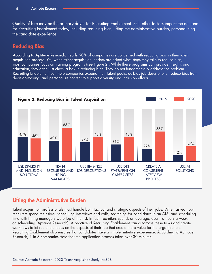Quality of hire may be the primary driver for Recruiting Enablement. Still, other factors impact the demand for Recruiting Enablement today, including reducing bias, lifting the administrative burden, personalizing the candidate experience.

# Reducing Bias

According to Aptitude Research, nearly 90% of companies are concerned with reducing bias in their talent acquisition process. Yet, when talent acquisition leaders are asked what steps they take to reduce bias, most companies focus on training programs (see Figure 2). While these programs can provide insights and education, they often just check a box in reducing bias. They do not fundamentally address the problem. Recruiting Enablement can help companies expand their talent pools, de-bias job descriptions, reduce bias from decision-making, and personalize content to support diversity and inclusion efforts.



# Lifting the Administrative Burden

Talent acquisition professionals must handle both tactical and strategic aspects of their jobs. When asked how recruiters spend their time, scheduling interviews and calls, searching for candidates in an ATS, and scheduling time with hiring managers were top of the list. In fact, recruiters spend, on average, over 16 hours a week on scheduling (Aptitude Research). A practice of Recruiting Enablement can automate these tasks and create workflows to let recruiters focus on the aspects of their job that create more value for the organization. Recruiting Enablement also ensures that candidates have a simple, intuitive experience. According to Aptitude Research, 1 in 3 companies state that the application process takes over 30 minutes.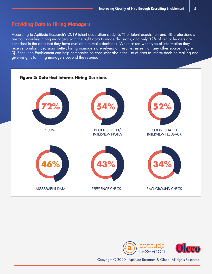## Providing Data to Hiring Managers

According to Aptitude Research's 2019 talent acquisition study, 67% of talent acquisition and HR professionals are not providing hiring managers with the right data to made decisions, and only 32% of senior leaders are confident in the data that they have available to make decisions. When asked what type of information they receive to inform decisions better, hiring managers are relying on resumes more than any other source (Figure 3). Recruiting Enablement can help companies be consistent about the use of data to inform decision making and give insights to hiring managers beyond the resume.





Copyright © 2020 - Aptitude Research & Oleeo. All rights Reserved.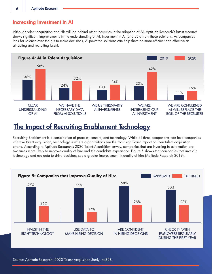# Increasing Investment in AI

Although talent acquisition and HR still lag behind other industries in the adoption of AI, Aptitude Research's latest research shows significant improvements in the understanding of AI, investment in AI, and data from these solutions. As companies look for science over the gut to make decisions, AI-powered solutions can help them be more efficient and effective at attracting and recruiting talent.



# The Impact of Recruiting Enablement Technology

Recruiting Enablement is a combination of process, content, and technology. While all three components can help companies improve talent acquisition, technology is where organizations see the most significant impact on their talent acquisition efforts. According to Aptitude Research's 2020 Talent Acquisition survey, companies that are investing in automation are two times more likely to improve quality of hire and the candidate experience. Figure 5 shows that companies that invest in technology and use data to drive decisions see a greater improvement in quality of hire (Aptitude Research 2019).

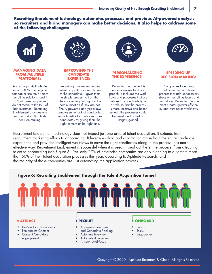**Recruiting Enablement technology automates processes and provides AI-powered analysis so recruiters and hiring managers can make better decisions. It also helps to address some of the following challenges:**



#### **MANAGING DATA FROM MULTIPLE PLATFORMS:**

According to Aptitude Research, 40% of enterprise companies use ten or more recruiting solutions, and 1 in 2 of those companies do not measure the ROI of that investment. Recruiting Enablement provides one source of data that fuels decision making.



#### **IMPROVING THE CANDIDATE EXPERIENCE:**

Recruiting Enablement makes talent acquisition more intuitive to the candidate. It gives them a simple process to trust that they are moving along and the communication if they are not. The AI-powered analysis allows employers to look at candidates more holistically. It also engages candidates by giving them the right content at the right time.



#### **PERSONALIZING THE EXPERIENCE:**

 Recruiting Enablement is not a one-size-fits-all approach. It includes the workflows and processes that are tailored by candidate type or role so that the process is more inclusive and better suited. The processes could be developed based on insights gained.



#### **SPEEDING UP DECISION MAKING:**

Companies face many delays in the recruitment process that add unnecessary stress on recruiting teams and candidates. Recruiting Enablement creates greater efficiency and automates workflows.

Recruitment Enablement technology does not impact just one area of talent acquisition. It extends from recruitment marketing efforts to onboarding. It leverages data and automation throughout the entire candidate experience and provides intelligent workflows to move the right candidates along in the process in a more effective way. Recruitment Enablement is successful when it is used throughout the entire process, from attracting talent to onboarding (see Figure 6). Yet, only 27% of enterprise companies are only planning to automate more than 50% of their talent acquisition processes this year, according to Aptitude Research, and the majority of those companies are just automating the application process.



Copyright © 2020 - Aptitude Research & Oleeo. All rights Reserved.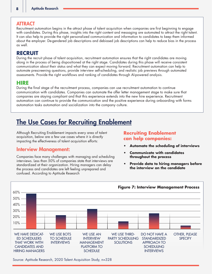#### **ATTRACT**

Recruitment automation begins in the attract phase of talent acquisition when companies are first beginning to engage with candidates. During this phase, insights into the right content and messaging are automated to attract the right talent. It can also help to provide the right personalized communication and information to candidates to keep them informed about the employer. De-gendered job descriptions and debiased job descriptions can help to reduce bias in the process as well.

## **RECRUIT**

During the recruit phase of talent acquisition, recruitment automation ensures that the right candidates are moving along in the process of being dispositioned at the right stage. Candidates during this phase will receive consistent communication about their status and what they can expect moving forward. Recruitment automation can help to automate prescreening questions, provide interview self-scheduling, and realistic job previews through automated assessments. Provide the right workflows and ranking of candidates through AI-powered analysis.

#### **HIRE**

During the final stage of the recruitment process, companies can use recruitment automation to continue communication with candidates. Companies can automate the offer letter management stage to make sure that companies are staying compliant and that this experience extends into the new hire experience. Recruitment automation can continue to provide the communication and the positive experience during onboarding with forms automation tasks automation and socialization into the company culture.

# The Use Cases for Recruiting Enablement

Although Recruiting Enablement impacts every area of talent acquisition, below are a few use cases where it is directly impacting the effectiveness of talent acquisition efforts:

## Interview Management:

Companies face many challenges with managing and scheduling interviews. Less than 50% of companies state that interviews are standardized at their organization. Hiring managers can delay the process and candidates are left feeling unprepared and confused. According to Aptitude Research

### **Recruiting Enablement can help companies:**

- **• Automate the scheduling of interviews**
- **• Communicate with candidates throughout the process**
- **• Provide data to hiring managers before the interview on the candidate**



Source: Aptitude Research, 2020 Talent Acquisition Study, n=328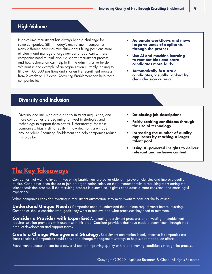# High-Volume

High-volume recruitment has always been a challenge for some companies. Still, in today's environment, companies in many different industries must think about filling positions more efficiently and manage a large number of applicants. These companies need to think about a shorter recruitment process and how automation can help to lift the administrative burden. Walmart is one example of an organization currently looking to fill over 100,000 positions and shorten the recruitment process from 2 weeks to 1-2 days. Recruiting Enablement can help these companies to:

- **• Automate workflows and move large volumes of applicants through the process**
- **• Use AI and machine learning to root out bias and score candidates more fairly**
- **• Automatically fast-track candidates, visually ranked by clear decision criteria**

## Diversity and Inclusion

Diversity and inclusion are a priority in talent acquisition, and more companies are beginning to invest in strategies and technology to support these efforts. Unfortunately, for most companies, bias is still a reality in how decisions are made around talent. Recruiting Enablement can help companies reduce this bias by:

- **• De-biasing job descriptions**
- **• Fairly ranking candidates through the use of technology**
- **• Increasing the number of quality applicants by reaching a larger talent pool**
- **• Using AI-powered insights to deliver relevant and inclusive content**

# **The Key Takeaways**

Companies that want to invest in Recruiting Enablement are better able to improve efficiencies and improve quality of hire. Candidates often decide to join an organization solely on their interaction with a recruiting team during the talent acquisition process. If the recruiting process is automated, it gives candidates a more consistent and meaningful experience.

When companies consider investing in recruitment automation, they might want to consider the following:

**Understand Unique Needs:** Companies need to understand their unique requirements before investing. Companies should consider what goals they want to achieve and what processes they need to automate.

**Consider a Provider with Expertise:** Automating recruitment processes and investing in enablement requires solution providers with expertise in this area. Consider providers that have made a commitment through their product development and support teams.

**Create a Change Management Strategy:** Recruitment automation is only effective if companies use these solutions. Companies should consider a change management strategy to help support adoption efforts.

Recruitment automation can be a powerful tool for improving quality of hire and moving candidates through the process.